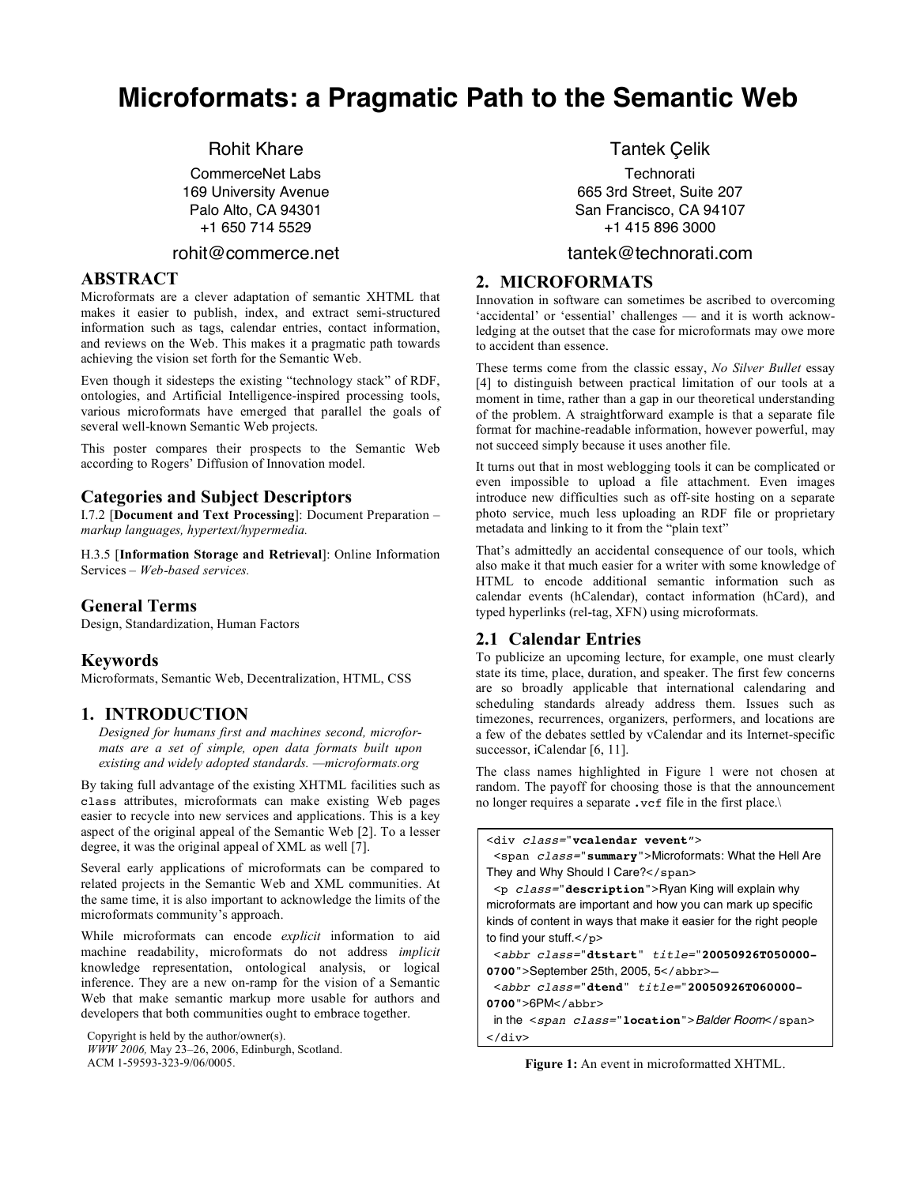# **Microformats: a Pragmatic Path to the Semantic Web**

Rohit Khare

CommerceNet Labs 169 University Avenue Palo Alto, CA 94301 +1 650 714 5529

## rohit@commerce.net

# **ABSTRACT**

Microformats are a clever adaptation of semantic XHTML that makes it easier to publish, index, and extract semi-structured information such as tags, calendar entries, contact information, and reviews on the Web. This makes it a pragmatic path towards achieving the vision set forth for the Semantic Web.

Even though it sidesteps the existing "technology stack" of RDF, ontologies, and Artificial Intelligence-inspired processing tools, various microformats have emerged that parallel the goals of several well-known Semantic Web projects.

This poster compares their prospects to the Semantic Web according to Rogers' Diffusion of Innovation model.

## **Categories and Subject Descriptors**

I.7.2 [**Document and Text Processing**]: Document Preparation – *markup languages, hypertext/hypermedia.*

H.3.5 [**Information Storage and Retrieval**]: Online Information Services – *Web-based services.*

## **General Terms**

Design, Standardization, Human Factors

## **Keywords**

Microformats, Semantic Web, Decentralization, HTML, CSS

#### **1. INTRODUCTION**

*Designed for humans first and machines second, microformats are a set of simple, open data formats built upon existing and widely adopted standards. —microformats.org*

By taking full advantage of the existing XHTML facilities such as class attributes, microformats can make existing Web pages easier to recycle into new services and applications. This is a key aspect of the original appeal of the Semantic Web [2]. To a lesser degree, it was the original appeal of XML as well [7].

Several early applications of microformats can be compared to related projects in the Semantic Web and XML communities. At the same time, it is also important to acknowledge the limits of the microformats community's approach.

While microformats can encode *explicit* information to aid machine readability, microformats do not address *implicit* knowledge representation, ontological analysis, or logical inference. They are a new on-ramp for the vision of a Semantic Web that make semantic markup more usable for authors and developers that both communities ought to embrace together.

Copyright is held by the author/owner(s).

*WWW 2006,* May 23–26, 2006, Edinburgh, Scotland. ACM 1-59593-323-9/06/0005.

## Tantek Çelik

**Technorati** 665 3rd Street, Suite 207 San Francisco, CA 94107 +1 415 896 3000

#### tantek@technorati.com

# **2. MICROFORMATS**

Innovation in software can sometimes be ascribed to overcoming 'accidental' or 'essential' challenges — and it is worth acknowledging at the outset that the case for microformats may owe more to accident than essence.

These terms come from the classic essay, *No Silver Bullet* essay [4] to distinguish between practical limitation of our tools at a moment in time, rather than a gap in our theoretical understanding of the problem. A straightforward example is that a separate file format for machine-readable information, however powerful, may not succeed simply because it uses another file.

It turns out that in most weblogging tools it can be complicated or even impossible to upload a file attachment. Even images introduce new difficulties such as off-site hosting on a separate photo service, much less uploading an RDF file or proprietary metadata and linking to it from the "plain text"

That's admittedly an accidental consequence of our tools, which also make it that much easier for a writer with some knowledge of HTML to encode additional semantic information such as calendar events (hCalendar), contact information (hCard), and typed hyperlinks (rel-tag, XFN) using microformats.

## **2.1 Calendar Entries**

To publicize an upcoming lecture, for example, one must clearly state its time, place, duration, and speaker. The first few concerns are so broadly applicable that international calendaring and scheduling standards already address them. Issues such as timezones, recurrences, organizers, performers, and locations are a few of the debates settled by vCalendar and its Internet-specific successor, iCalendar [6, 11].

The class names highlighted in Figure 1 were not chosen at random. The payoff for choosing those is that the announcement no longer requires a separate .vcf file in the first place.\

<div class="**vcalendar vevent**"> <span class="**summary**">Microformats: What the Hell Are They and Why Should I Care?</span>

<p class="**description**">Ryan King will explain why microformats are important and how you can mark up specific kinds of content in ways that make it easier for the right people to find your stuff.</p>

<abbr class="**dtstart**" title="**20050926T050000- 0700**">September 25th, 2005, 5</abbr>—

<abbr class="**dtend**" title="**20050926T060000- 0700**">6PM</abbr>

in the <span class="**location**">Balder Room</span>  $\langle$ div $>$ 

**Figure 1:** An event in microformatted XHTML.